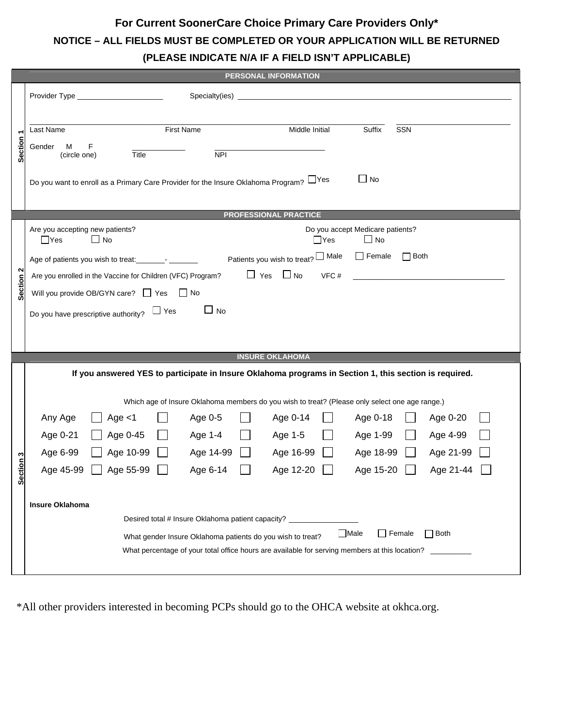## **For Current SoonerCare Choice Primary Care Providers Only\* NOTICE – ALL FIELDS MUST BE COMPLETED OR YOUR APPLICATION WILL BE RETURNED (PLEASE INDICATE N/A IF A FIELD ISN'T APPLICABLE)**

| <b>PERSONAL INFORMATION</b> |                                                                                                           |  |  |  |  |  |  |
|-----------------------------|-----------------------------------------------------------------------------------------------------------|--|--|--|--|--|--|
|                             | Specialty(ies) _                                                                                          |  |  |  |  |  |  |
|                             |                                                                                                           |  |  |  |  |  |  |
| ٣                           | <b>First Name</b><br>Middle Initial<br>Suffix<br>SSN<br>Last Name                                         |  |  |  |  |  |  |
| <b>Section</b>              | Gender<br>F<br>м                                                                                          |  |  |  |  |  |  |
|                             | $\overline{NPI}$<br>(circle one)<br>Title                                                                 |  |  |  |  |  |  |
|                             | $\Box$ No<br>Do you want to enroll as a Primary Care Provider for the Insure Oklahoma Program? $\Box$ Yes |  |  |  |  |  |  |
|                             |                                                                                                           |  |  |  |  |  |  |
|                             | <b>PROFESSIONAL PRACTICE</b>                                                                              |  |  |  |  |  |  |
|                             | Are you accepting new patients?<br>Do you accept Medicare patients?                                       |  |  |  |  |  |  |
|                             | $\square$ No<br>$\square$ No<br>$\Box$ Yes<br>$\Box$ Yes                                                  |  |  |  |  |  |  |
|                             | $\Box$ Female<br>Patients you wish to treat? Male<br>$\Box$ Both                                          |  |  |  |  |  |  |
| N<br>Section                | $\Box$ Yes $\Box$ No<br>Are you enrolled in the Vaccine for Children (VFC) Program?<br>VFC#               |  |  |  |  |  |  |
|                             | Will you provide OB/GYN care? $\Box$ Yes<br>$\Box$ No                                                     |  |  |  |  |  |  |
|                             | $\Box$ No<br>$\Box$ Yes<br>Do you have prescriptive authority?                                            |  |  |  |  |  |  |
|                             |                                                                                                           |  |  |  |  |  |  |
|                             |                                                                                                           |  |  |  |  |  |  |
|                             | <b>INSURE OKLAHOMA</b>                                                                                    |  |  |  |  |  |  |
|                             | If you answered YES to participate in Insure Oklahoma programs in Section 1, this section is required.    |  |  |  |  |  |  |
|                             |                                                                                                           |  |  |  |  |  |  |
|                             | Which age of Insure Oklahoma members do you wish to treat? (Please only select one age range.)            |  |  |  |  |  |  |
|                             | Any Age<br>Age $<$ 1<br>Age 0-5<br>Age 0-14<br>Age 0-18<br>Age 0-20                                       |  |  |  |  |  |  |
|                             | Age 0-21<br>Age 0-45<br>Age 1-4<br>Age 1-5<br>Age 1-99<br>Age 4-99                                        |  |  |  |  |  |  |
|                             | Age 6-99<br>Age 10-99<br>Age 14-99<br>Age 16-99<br>Age 18-99<br>Age 21-99                                 |  |  |  |  |  |  |
| ection <sub>3</sub>         | Age 45-99<br>Age 55-99<br>Age 6-14<br>Age 12-20<br>Age 15-20<br>Age 21-44                                 |  |  |  |  |  |  |
| ທ                           |                                                                                                           |  |  |  |  |  |  |
|                             | <b>Insure Oklahoma</b>                                                                                    |  |  |  |  |  |  |
|                             | Desired total # Insure Oklahoma patient capacity? _______________                                         |  |  |  |  |  |  |
|                             | $\Box$ Male<br>$\Box$ Female<br>$\Box$ Both<br>What gender Insure Oklahoma patients do you wish to treat? |  |  |  |  |  |  |
|                             | What percentage of your total office hours are available for serving members at this location?            |  |  |  |  |  |  |
|                             |                                                                                                           |  |  |  |  |  |  |

\*All other providers interested in becoming PCPs should go to the OHCA website at okhca.org.